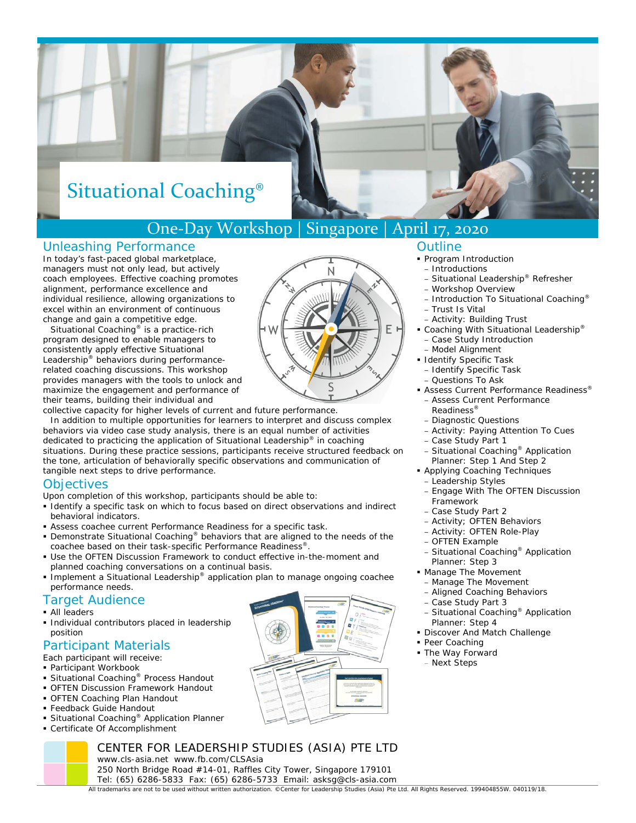

# Situational Coaching®

# One‐Day Workshop | Singapore | April 17, 2020

#### Unleashing Performance

In today's fast-paced global marketplace, managers must not only lead, but actively coach employees. Effective coaching prom otes alignment, performance excellence and individual resilience, allowing organizations to excel within an environment of continuous change and gain a competitive edge.

*Situational Coaching®* is a practice-rich program designed to enable managers to consistently apply effective Situational Leadership® behaviors during performancerelated coaching discussions. This workshop provides managers with the tools to unlock and maximize the engagement and performance of their teams, building their individual and

collective capacity for higher levels of current and future performance. In addition to multiple opportunities for learners to interpret and discuss complex behaviors via video case study analysis, there is an equal number of activities dedicated to practicing the application of Situational Leadership® in coaching situations. During these practice sessions, participants receive structured feedback on the tone, articulation of behaviorally specific observations and communication of tangible next steps to drive performance.

#### **Objectives**

Upon completion of this workshop, participants should be able to:

- **Identify a specific task on which to focus based on direct observations and indirect** behavioral indicators.
- Assess coachee current Performance Readiness for a specific task.

www.cls-asia.net www.fb.com/CLSAsia

- Demonstrate Situational Coaching<sup>®</sup> behaviors that are aligned to the needs of the coachee based on their task-specific Performance Readiness®.
- Use the OFTEN Discussion Framework to conduct effective in-the-moment and planned coaching conversations on a continual basis.
- Implement a Situational Leadership<sup>®</sup> application plan to manage ongoing coachee performance needs.

CENTER FOR LEADERSHIP STUDIES (ASIA) PTE LTD

250 North Bridge Road #14-01, Raffles City Tower, Singapore 179101

#### Target Audience

- **All leaders**
- **Individual contributors placed in leadership** position

# Participant Materials

Each participant will receive:

- Participant Workbook
- Situational Coaching<sup>®</sup> Process Handout
- OFTEN Discussion Framework Handout
- OFTEN Coaching Plan Handout Feedback Guide Handout
- 
- Situational Coaching<sup>®</sup> Application Planner
- Certificate Of Accomplishment



### **Outline**

- **Program Introduction**
- Introductions
- Situational Leadership® Refresher
- Workshop Overview
- Introduction To Situational Coaching®
- Trust Is Vital
- Activity: Building Trust
- Coaching With Situational Leadership® – Case Study Introduction
- Model Alignment
- **Identify Specific Task**
- Identify Specific Task
- Questions To Ask
- Assess Current Performance Readiness® – Assess Current Performance
- Readiness® – Diagnostic Questions
- 
- Activity: Paying Attention To Cues
- Case Study Part 1
- Situational Coaching<sup>®</sup> Application Planner: Step 1 And Step 2
- Applying Coaching Techniques – Leadership Styles
	- Engage With The OFTEN Discussion Framework
	- Case Study Part 2
	- Activity; OFTEN Behaviors
	- Activity: OFTEN Role-Play
	- OFTEN Example
	- Situational Coaching® Application Planner: Step 3
- **Manage The Movement**
- Manage The Movement
- Aligned Coaching Behaviors
- Case Study Part 3
- Situational Coaching® Application Planner: Step 4
- **Discover And Match Challenge**
- Peer Coaching
- The Way Forward
- Next Steps

Tel: (65) 6286-5833 Fax: (65) 6286-5733 Email: asksg@cls-asia.com All trademarks are not to be used without written authorization. ©Center for Leadership Studies (Asia) Pte Ltd. All Rights Reserved. 199404855W. 040119/18.